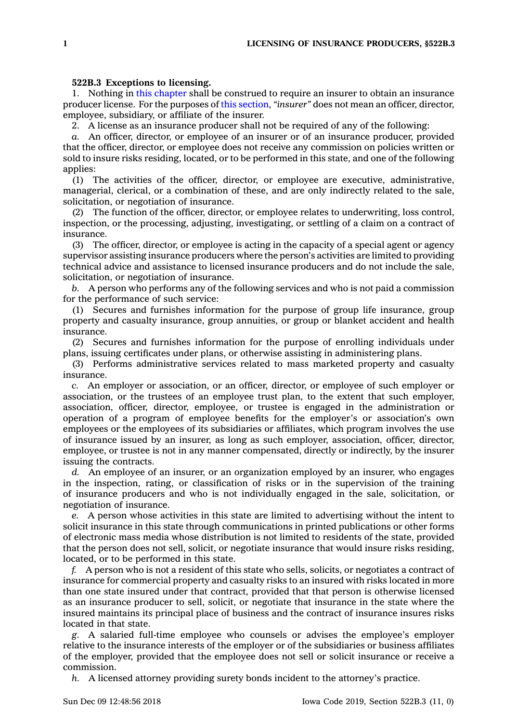## **522B.3 Exceptions to licensing.**

1. Nothing in this [chapter](https://www.legis.iowa.gov/docs/code//522B.pdf) shall be construed to require an insurer to obtain an insurance producer license. For the purposes of this [section](https://www.legis.iowa.gov/docs/code/522B.3.pdf), *"insurer"* does not mean an officer, director, employee, subsidiary, or affiliate of the insurer.

2. A license as an insurance producer shall not be required of any of the following:

*a.* An officer, director, or employee of an insurer or of an insurance producer, provided that the officer, director, or employee does not receive any commission on policies written or sold to insure risks residing, located, or to be performed in this state, and one of the following applies:

(1) The activities of the officer, director, or employee are executive, administrative, managerial, clerical, or <sup>a</sup> combination of these, and are only indirectly related to the sale, solicitation, or negotiation of insurance.

(2) The function of the officer, director, or employee relates to underwriting, loss control, inspection, or the processing, adjusting, investigating, or settling of <sup>a</sup> claim on <sup>a</sup> contract of insurance.

(3) The officer, director, or employee is acting in the capacity of <sup>a</sup> special agent or agency supervisor assisting insurance producers where the person's activities are limited to providing technical advice and assistance to licensed insurance producers and do not include the sale, solicitation, or negotiation of insurance.

*b.* A person who performs any of the following services and who is not paid <sup>a</sup> commission for the performance of such service:

(1) Secures and furnishes information for the purpose of group life insurance, group property and casualty insurance, group annuities, or group or blanket accident and health insurance.

(2) Secures and furnishes information for the purpose of enrolling individuals under plans, issuing certificates under plans, or otherwise assisting in administering plans.

(3) Performs administrative services related to mass marketed property and casualty insurance.

*c.* An employer or association, or an officer, director, or employee of such employer or association, or the trustees of an employee trust plan, to the extent that such employer, association, officer, director, employee, or trustee is engaged in the administration or operation of <sup>a</sup> program of employee benefits for the employer's or association's own employees or the employees of its subsidiaries or affiliates, which program involves the use of insurance issued by an insurer, as long as such employer, association, officer, director, employee, or trustee is not in any manner compensated, directly or indirectly, by the insurer issuing the contracts.

*d.* An employee of an insurer, or an organization employed by an insurer, who engages in the inspection, rating, or classification of risks or in the supervision of the training of insurance producers and who is not individually engaged in the sale, solicitation, or negotiation of insurance.

*e.* A person whose activities in this state are limited to advertising without the intent to solicit insurance in this state through communications in printed publications or other forms of electronic mass media whose distribution is not limited to residents of the state, provided that the person does not sell, solicit, or negotiate insurance that would insure risks residing, located, or to be performed in this state.

*f.* A person who is not <sup>a</sup> resident of this state who sells, solicits, or negotiates <sup>a</sup> contract of insurance for commercial property and casualty risks to an insured with risks located in more than one state insured under that contract, provided that that person is otherwise licensed as an insurance producer to sell, solicit, or negotiate that insurance in the state where the insured maintains its principal place of business and the contract of insurance insures risks located in that state.

*g.* A salaried full-time employee who counsels or advises the employee's employer relative to the insurance interests of the employer or of the subsidiaries or business affiliates of the employer, provided that the employee does not sell or solicit insurance or receive <sup>a</sup> commission.

*h.* A licensed attorney providing surety bonds incident to the attorney's practice.